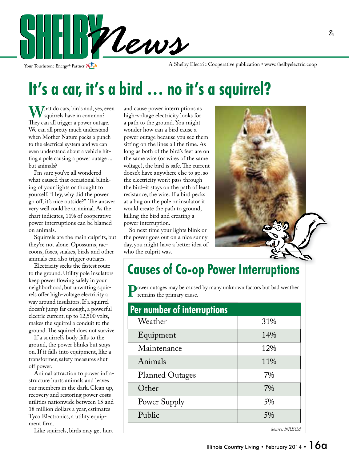

Your Touchstone Energy<sup>®</sup> Partner

A Shelby Electric Cooperative publication • www.shelbyelectric.coop

## **It's a car, it's a bird … no it's a squirrel?**

What do cars, birds and, yes, even squirrels have in common? They can all trigger a power outage. We can all pretty much understand when Mother Nature packs a punch to the electrical system and we can even understand about a vehicle hitting a pole causing a power outage ... but animals?

 I'm sure you've all wondered what caused that occasional blinking of your lights or thought to yourself, "Hey, why did the power go off, it's nice outside?" The answer very well could be an animal. As the chart indicates, 11% of cooperative power interruptions can be blamed on animals.

 Squirrels are the main culprits, but they're not alone. Opossums, raccoons, foxes, snakes, birds and other animals can also trigger outages.

 Electricity seeks the fastest route to the ground. Utility pole insulators keep power flowing safely in your neighborhood, but unwitting squirrels offer high-voltage electricity a way around insulators. If a squirrel doesn't jump far enough, a powerful electric current, up to 12,500 volts, makes the squirrel a conduit to the ground. The squirrel does not survive.

 If a squirrel's body falls to the ground, the power blinks but stays on. If it falls into equipment, like a transformer, safety measures shut off power.

 Animal attraction to power infrastructure hurts animals and leaves our members in the dark. Clean up, recovery and restoring power costs utilities nationwide between 15 and 18 million dollars a year, estimates Tyco Electronics, a utility equipment firm.

Like squirrels, birds may get hurt

and cause power interruptions as high-voltage electricity looks for a path to the ground. You might wonder how can a bird cause a power outage because you see them sitting on the lines all the time. As long as both of the bird's feet are on the same wire (or wires of the same voltage), the bird is safe. The current doesn't have anywhere else to go, so the electricity won't pass through the bird–it stays on the path of least resistance, the wire. If a bird pecks at a bug on the pole or insulator it would create the path to ground, killing the bird and creating a power interruption.

 So next time your lights blink or the power goes out on a nice sunny day, you might have a better idea of who the culprit was.



### **Causes of Co-op Power Interruptions**

**Power outages may be caused by many unknown factors but bad weather** remains the primary cause.

| Per number of interruptions |               |
|-----------------------------|---------------|
| Weather                     | 31%           |
| Equipment                   | 14%           |
| Maintenance                 | 12%           |
| Animals                     | 11%           |
| <b>Planned Outages</b>      | 7%            |
| Other                       | 7%            |
| Power Supply                | 5%            |
| Public                      | 5%            |
|                             | Source: NRECA |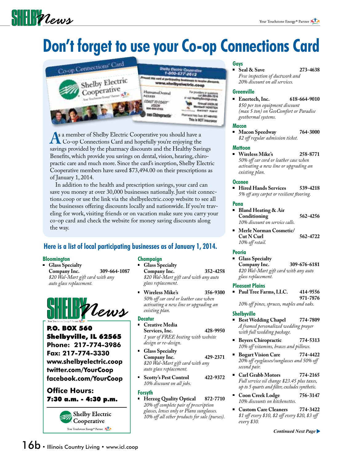# $\frac{1}{2}$

# **Don't forget to use your Co-op Connections Card**



**A**s a member of Shelby Electric Cooperative you should have a<br>
Co-op Connections Card and hopefully you're enjoying the<br>
sayings provided by the pharmacy discounts and the Healthy Sayi savings provided by the pharmacy discounts and the Healthy Savings Benefits, which provide you savings on dental, vision, hearing, chiropractic care and much more. Since the card's inception, Shelby Electric Cooperative members have saved \$73,494.00 on their prescriptions as of January 1, 2014.

 In addition to the health and prescription savings, your card can save you money at over 30,000 businesses nationally. Just visit connections.coop or use the link via the shelbyelectric.coop website to see all the businesses offering discounts locally and nationwide. If you're traveling for work, visiting friends or on vacation make sure you carry your co-op card and check the website for money saving discounts along the way.

#### **Here is a list of local participating businesses as of January 1, 2014.**

#### **Bloomington**

 **Glass Specialty Company Inc. 309-664-1087**  *\$20 Wal-Mart gift card with any auto glass replacement.*



P.O. BOX 560 Shelbyville, IL 62565 **Phone: 217-774-3986 Fax: 217-774-3330 www.shelbyelectric.coop twitter.com/YourCoop facebook.com/YourCoop**

#### **Office Hours:** 7:30 a.m. - 4:30 p.m.



#### **Champaign**

 **Glass Specialty Company Inc. 352-4258**

 *\$20 Wal-Mart gift card with any auto glass replacement.*

 **Wireless Mike's 356-9300**  *50% o car cord or leather case when activating a new line or upgrading an existing plan.*

#### **Decatur**

- **Creative Media Services, Inc. 428-9950**  *1 year of FREE hosting with website design or re-design.*
- **Glass Specialty Company Inc. 429-2371**  *\$20 Wal-Mart gift card with any auto glass replacement.*
- **Scotty's Pest Control 422-9372**  *10% discount on all jobs.*

#### **Forsyth**

 **Herzog Quality Optical 872-7710** 20% off complete pair of prescription  *glasses, lenses only or Plano sunglasses. 10% o all other products for sale (purses).*

#### **Gays**

 **Seal & Save 273-4638**  *Free inspection of ductwork and 20% discount on all services.*

#### **Greenville**

 **Enertech, Inc. 618-664-9010**  *\$50 per ton equipment discount (max 5 ton) on GeoComfort or Paradise geothermal systems.*

#### **Macon**

 **Macon Speedway 764-3000**  *\$2 o regular admission ticket.*

#### **Mattoon**

 **Wireless Mike's 258-8771**  *50% o car cord or leather case when activating a new line or upgrading an existing plan.*

#### **Oconee**

 **Hired Hands Services 539-4218**  *5% o any carpet or resilient ooring.*

#### **Pana**

 **Bland Heating & Air Conditioning 562-4256**  *10% discount on service calls.*

 **Merle Norman Cosmetic/ Cut N Curl 562-4722** 10% off retail.

#### **Peoria**

 **Glass Specialty Company Inc. 309-676-6181**   *\$20 Wal-Mart gift card with any auto glass replacement.*

#### **Pleasant Plains**

 **Paul Tree Farms, LLC. 414-9556 971-7876**  *10% o pines, spruces, maples and oaks.*

#### **Shelbyville**

- **Best Wedding Chapel 774-7809**  *A framed personalized wedding prayer with full wedding package.*
- **Beyers Chiropractic 774-5313** 10% off vitamins, braces and pillows.
- **Bogart Vision Care 774-4422** 20% off eyeglasses/sunglasses and 50% off  *second pair.*
- **Carl Grabb Motors 774-2165**  *Full service oil change \$23.45 plus taxes, up to 5 quarts and lter, excludes synthetic.*
- **Coon Creek Lodge 756-3147**  *10% discounts on kitchenettes.*
- **Custom Care Cleaners 774-3422** \$1 off every \$10, \$2 off every \$20, \$3 off  *every \$30.*

*Continued Next Page*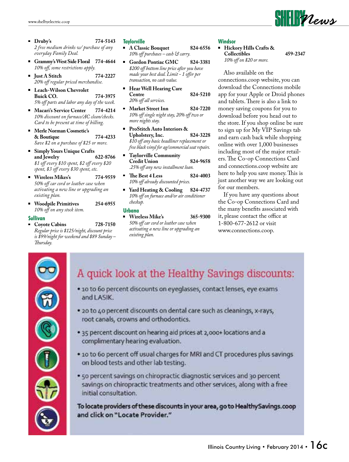- **Druby's 774-5143**  *2 free medium drinks w/ purchase of any everyday Family Deal.*
- **Grammy's West Side Floral 774-4644** 10% off, some restrictions apply.
- **Just A Stitch 774-2227** 20% off regular priced merchandise.
- **Leach-Wilson Chevrolet Buick CO. 774-3975**  *5% o parts and labor any day of the week.*
- **Macari's Service Center 774-4214**  *10% discount on furnace/AC clean/checks. Card to be present at time of billing.*
- **Merle Norman Cosmetic's & Boutique 774-4233**  *Save \$2 on a purchase of \$25 or more.*
- **Simply Yours Unique Crafts**  and Jewelry \$1 off every \$10 spent, \$2 off every \$20 spent, \$3 off every \$30 spent, etc.
- **Wireless Mikes's 774-9559**  *50% o car cord or leather case when activating a new line or upgrading an existing plan.*
- **Woodpile Primitives 254-6955**  *10% o on any stock item.*

#### **Sullivan**

 **Coyote Cabins 728-7150**  *Regular price is \$125/night, discount price is \$99/night for weekend and \$89 Sunday – Thursday.* 

#### **Taylorville**

- **A Classic Bouquet 824-6556**  *10% o purchases – cash & carry.*
- **Gordon Pontiac GMC 824-3381**  *\$200 o bottom line price after you have*  made your best deal. Limit - 1 offer per  *transaction, no cash value.*
- **Hear Well Hearing Care Centre 824-5210** 20% off all services.
- **Market Street Inn 824-7220** 10% off single night stay, 20% off two or  *more nights stay.*
- **ProStitch Auto Interiors & Upholstery, Inc. 824-3228**  *\$10 o any basic headliner replacement or free black vinyl for ag/commercial seat repairs.*
- **Taylorville Community Credit Union 824-9658**  *.25% o any new installment loan.*
- $\blacksquare$  The Best 4 Less 824-4003 10% off already discounted prices.
- **Yard Heating & Cooling 824-4737**  *10% o on furnace and/or air conditioner checkup.*

#### **Urbana**

 **Wireless Mike's 365-9300**  *50% o car cord or leather case when activating a new line or upgrading an existing plan.*

#### **Windsor**

#### **Hickory Hills Crafts & Collectibles 459-2347**  *10% o on \$20 or more.*

 Also available on the connections.coop website, you can download the Connections mobile app for your Apple or Droid phones and tablets. There is also a link to money saving coupons for you to download before you head out to the store. If you shop online be sure to sign up for My VIP Savings tab and earn cash back while shopping online with over 1,000 businesses including most of the major retailers. The Co-op Connections Card and connections.coop website are here to help you save money. This is just another way we are looking out for our members.

 If you have any questions about the Co-op Connections Card and the many benefits associated with it, please contact the office at 1-800-677-2612 or visit www.connections.coop.



### A quick look at the Healthy Savings discounts:

- · 10 to 60 percent discounts on eyeglasses, contact lenses, eye exams and LASIK.
- . 20 to 40 percent discounts on dental care such as cleanings, x-rays, root canals, crowns and orthodontics.
- . 35 percent discount on hearing aid prices at 2,000+ locations and a complimentary hearing evaluation.
- . 10 to 60 percent off usual charges for MRI and CT procedures plus savings on blood tests and other lab testing.
- . 50 percent savings on chiropractic diagnostic services and 30 percent savings on chiropractic treatments and other services, along with a free initial consultation.

To locate providers of these discounts in your area, go to Healthy Savings.coop and click on "Locate Provider."